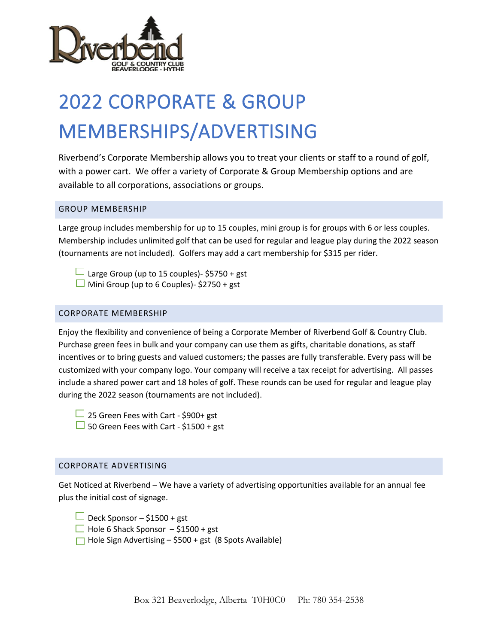

# 2022 CORPORATE & GROUP MEMBERSHIPS/ADVERTISING

Riverbend's Corporate Membership allows you to treat your clients or staff to a round of golf, with a power cart. We offer a variety of Corporate & Group Membership options and are available to all corporations, associations or groups.

### GROUP MEMBERSHIP

Large group includes membership for up to 15 couples, mini group is for groups with 6 or less couples. Membership includes unlimited golf that can be used for regular and league play during the 2022 season (tournaments are not included). Golfers may add a cart membership for \$315 per rider.

 $\Box$  Large Group (up to 15 couples)- \$5750 + gst

 $\Box$  Mini Group (up to 6 Couples)- \$2750 + gst

#### CORPORATE MEMBERSHIP

Enjoy the flexibility and convenience of being a Corporate Member of Riverbend Golf & Country Club. Purchase green fees in bulk and your company can use them as gifts, charitable donations, as staff incentives or to bring guests and valued customers; the passes are fully transferable. Every pass will be customized with your company logo. Your company will receive a tax receipt for advertising. All passes include a shared power cart and 18 holes of golf. These rounds can be used for regular and league play during the 2022 season (tournaments are not included).

 $\Box$  25 Green Fees with Cart - \$900+ gst  $\Box$  50 Green Fees with Cart - \$1500 + gst

#### CORPORATE ADVERTISING

Get Noticed at Riverbend – We have a variety of advertising opportunities available for an annual fee plus the initial cost of signage.

Deck Sponsor –  $$1500 + gst$ 

- $\Box$  Hole 6 Shack Sponsor \$1500 + gst
- $\Box$  Hole Sign Advertising \$500 + gst (8 Spots Available)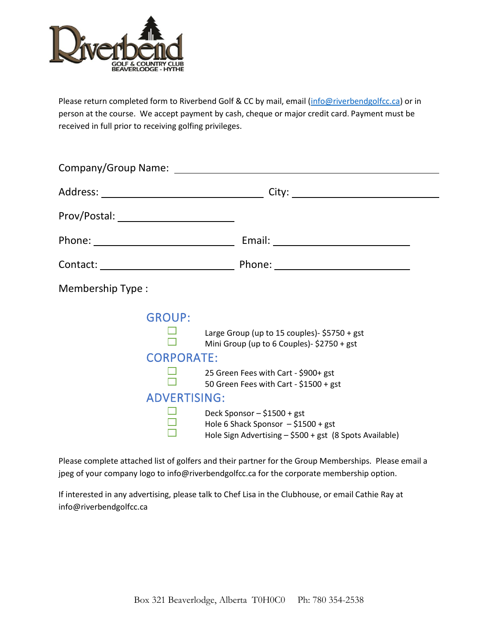

Please return completed form to Riverbend Golf & CC by mail, email [\(info@riverbendgolfcc.ca\)](mailto:info@riverbendgolfcc.ca) or in person at the course. We accept payment by cash, cheque or major credit card. Payment must be received in full prior to receiving golfing privileges.

|                                                           | Company/Group Name: The company of the company of the company of the company of the company of the company of the company of the company of the company of the company of the company of the company of the company of the com                                                                                |  |
|-----------------------------------------------------------|---------------------------------------------------------------------------------------------------------------------------------------------------------------------------------------------------------------------------------------------------------------------------------------------------------------|--|
|                                                           |                                                                                                                                                                                                                                                                                                               |  |
|                                                           |                                                                                                                                                                                                                                                                                                               |  |
|                                                           |                                                                                                                                                                                                                                                                                                               |  |
|                                                           |                                                                                                                                                                                                                                                                                                               |  |
| Membership Type:                                          |                                                                                                                                                                                                                                                                                                               |  |
| <b>GROUP:</b><br><b>CORPORATE:</b><br><b>ADVERTISING:</b> | Large Group (up to 15 couples)- \$5750 + gst<br>Mini Group (up to 6 Couples)- \$2750 + gst<br>25 Green Fees with Cart - \$900+ gst<br>50 Green Fees with Cart - \$1500 + gst<br>Deck Sponsor - \$1500 + gst<br>Hole 6 Shack Sponsor - \$1500 + gst<br>Hole Sign Advertising - \$500 + gst (8 Spots Available) |  |

Please complete attached list of golfers and their partner for the Group Memberships. Please email a jpeg of your company logo to [info@riverbendgolfcc.ca](mailto:info@riverbendgolfcc.ca) for the corporate membership option.

If interested in any advertising, please talk to Chef Lisa in the Clubhouse, or email Cathie Ray at info@riverbendgolfcc.ca